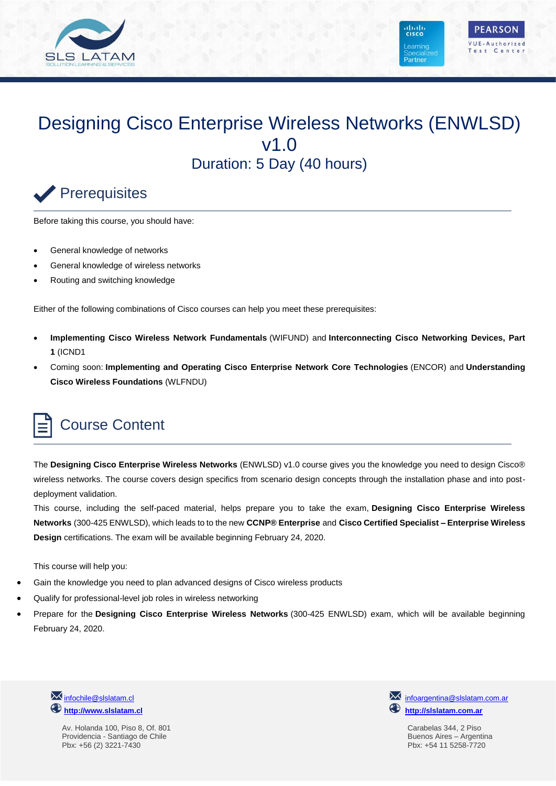

# Designing Cisco Enterprise Wireless Networks (ENWLSD) v1.0 Duration: 5 Day (40 hours)

# Prerequisites

Before taking this course, you should have:

- General knowledge of networks
- General knowledge of wireless networks
- Routing and switching knowledge

Either of the following combinations of Cisco courses can help you meet these prerequisites:

- **Implementing Cisco Wireless Network Fundamentals** (WIFUND) and **Interconnecting Cisco Networking Devices, Part 1** (ICND1
- Coming soon: **Implementing and Operating Cisco Enterprise Network Core Technologies** (ENCOR) and **Understanding Cisco Wireless Foundations** (WLFNDU)

# Course Content

The **Designing Cisco Enterprise Wireless Networks** (ENWLSD) v1.0 course gives you the knowledge you need to design Cisco® wireless networks. The course covers design specifics from scenario design concepts through the installation phase and into postdeployment validation.

This course, including the self-paced material, helps prepare you to take the exam, **Designing Cisco Enterprise Wireless Networks** (300-425 ENWLSD), which leads to to the new **CCNP® Enterprise** and **Cisco Certified Specialist – Enterprise Wireless Design** certifications. The exam will be available beginning February 24, 2020.

This course will help you:

- Gain the knowledge you need to plan advanced designs of Cisco wireless products
- Qualify for professional-level job roles in wireless networking
- Prepare for the **Designing Cisco Enterprise Wireless Networks** (300-425 ENWLSD) exam, which will be available beginning February 24, 2020.

**M** [infochile@slslatam.cl](mailto:infochile@slslatam.c) **[http://www.slslatam.cl](http://www.slslatam.cl/)**

> Av. Holanda 100, Piso 8, Of. 801 Providencia - Santiago de Chile Pbx: +56 (2) 3221-7430

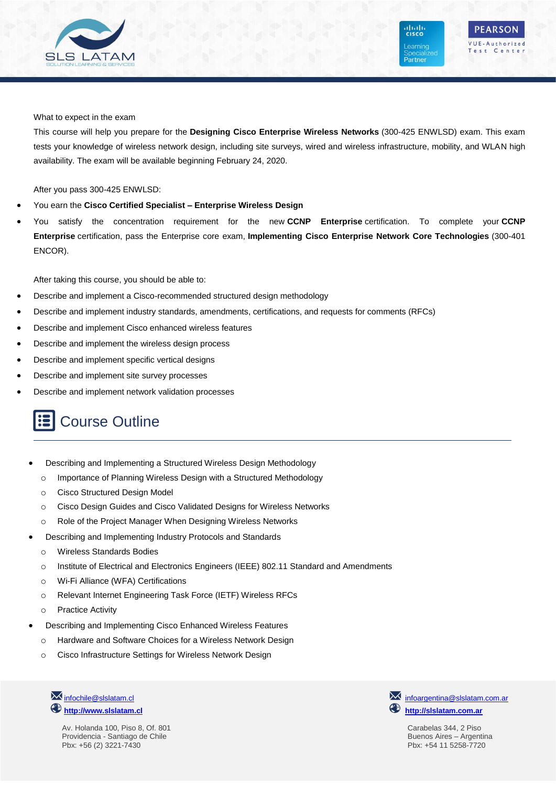

**PEARSON** VUE-Authorized Test Center

ahah.<br>Cisco

**Learning** 

Partner

#### What to expect in the exam

This course will help you prepare for the **Designing Cisco Enterprise Wireless Networks** (300-425 ENWLSD) exam. This exam tests your knowledge of wireless network design, including site surveys, wired and wireless infrastructure, mobility, and WLAN high availability. The exam will be available beginning February 24, 2020.

After you pass 300-425 ENWLSD:

- You earn the **Cisco Certified Specialist – Enterprise Wireless Design**
- You satisfy the concentration requirement for the new **CCNP Enterprise** certification. To complete your **CCNP Enterprise** certification, pass the Enterprise core exam, **Implementing Cisco Enterprise Network Core Technologies** (300-401 ENCOR).

After taking this course, you should be able to:

- Describe and implement a Cisco-recommended structured design methodology
- Describe and implement industry standards, amendments, certifications, and requests for comments (RFCs)
- Describe and implement Cisco enhanced wireless features
- Describe and implement the wireless design process
- Describe and implement specific vertical designs
- Describe and implement site survey processes
- Describe and implement network validation processes

### Course Outline

- Describing and Implementing a Structured Wireless Design Methodology
	- o Importance of Planning Wireless Design with a Structured Methodology
	- o Cisco Structured Design Model
	- o Cisco Design Guides and Cisco Validated Designs for Wireless Networks
	- o Role of the Project Manager When Designing Wireless Networks
- Describing and Implementing Industry Protocols and Standards
	- o Wireless Standards Bodies
	- o Institute of Electrical and Electronics Engineers (IEEE) 802.11 Standard and Amendments
	- o Wi-Fi Alliance (WFA) Certifications
	- o Relevant Internet Engineering Task Force (IETF) Wireless RFCs
	- o Practice Activity
- Describing and Implementing Cisco Enhanced Wireless Features
	- o Hardware and Software Choices for a Wireless Network Design
	- o Cisco Infrastructure Settings for Wireless Network Design

**M** [infochile@slslatam.cl](mailto:infochile@slslatam.c) **[http://www.slslatam.cl](http://www.slslatam.cl/)**

> Av. Holanda 100, Piso 8, Of. 801 Providencia - Santiago de Chile Pbx: +56 (2) 3221-7430

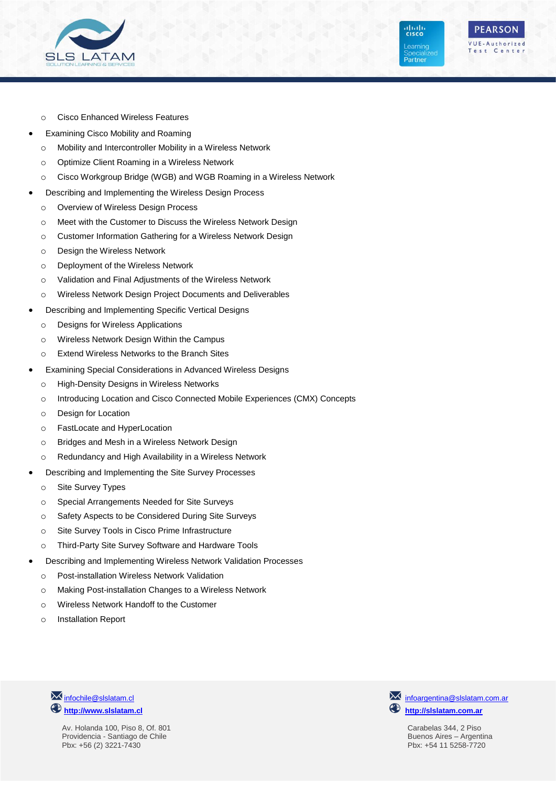

**PEARSON** VUE-Authorized Test Center

ahah.<br>Cisco

**Learning** 

Partner

- o Cisco Enhanced Wireless Features
- Examining Cisco Mobility and Roaming
	- o Mobility and Intercontroller Mobility in a Wireless Network
	- o Optimize Client Roaming in a Wireless Network
	- o Cisco Workgroup Bridge (WGB) and WGB Roaming in a Wireless Network
- Describing and Implementing the Wireless Design Process
	- o Overview of Wireless Design Process
	- o Meet with the Customer to Discuss the Wireless Network Design
	- o Customer Information Gathering for a Wireless Network Design
	- o Design the Wireless Network
	- o Deployment of the Wireless Network
	- o Validation and Final Adjustments of the Wireless Network
- o Wireless Network Design Project Documents and Deliverables
- Describing and Implementing Specific Vertical Designs
	- o Designs for Wireless Applications
	- o Wireless Network Design Within the Campus
	- o Extend Wireless Networks to the Branch Sites
- Examining Special Considerations in Advanced Wireless Designs
	- o High-Density Designs in Wireless Networks
	- o Introducing Location and Cisco Connected Mobile Experiences (CMX) Concepts
	- o Design for Location
	- o FastLocate and HyperLocation
	- o Bridges and Mesh in a Wireless Network Design
	- o Redundancy and High Availability in a Wireless Network
- Describing and Implementing the Site Survey Processes
	- o Site Survey Types
	- o Special Arrangements Needed for Site Surveys
	- o Safety Aspects to be Considered During Site Surveys
	- o Site Survey Tools in Cisco Prime Infrastructure
	- o Third-Party Site Survey Software and Hardware Tools
- Describing and Implementing Wireless Network Validation Processes
	- o Post-installation Wireless Network Validation
	- o Making Post-installation Changes to a Wireless Network
	- o Wireless Network Handoff to the Customer
	- o Installation Report



Av. Holanda 100, Piso 8, Of. 801 Providencia - Santiago de Chile Pbx: +56 (2) 3221-7430